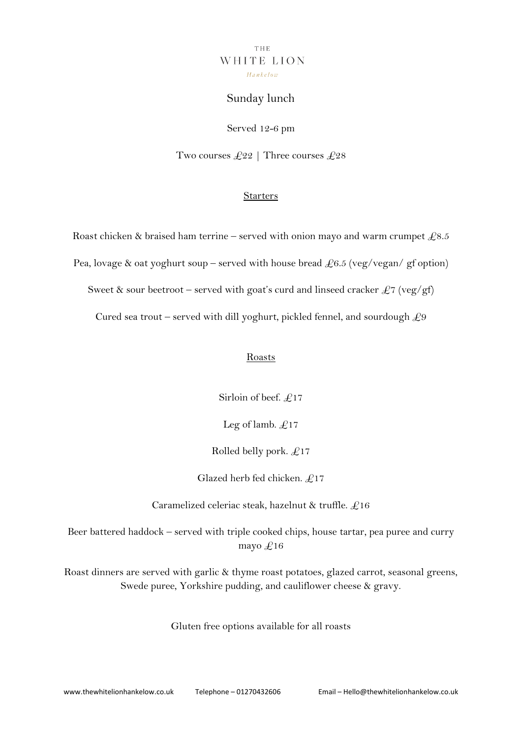## THE WHITE LION  $Hankelow$

# Sunday lunch

Served 12-6 pm

Two courses  $\pounds 22$  | Three courses  $\pounds 28$ 

### **Starters**

Roast chicken & braised ham terrine – served with onion mayo and warm crumpet  $\text{\pounds}8.5$ Pea, lovage & oat yoghurt soup – served with house bread  $\pounds 6.5$  (veg/vegan/ gf option) Sweet & sour beetroot – served with goat's curd and linseed cracker  $\pounds$ 7 (veg/gf) Cured sea trout – served with dill yoghurt, pickled fennel, and sourdough  $\mathcal{L}9$ 

#### Roasts

Sirloin of beef.  $£17$ 

Leg of lamb.  $£17$ 

Rolled belly pork.  $£17$ 

Glazed herb fed chicken. £17

Caramelized celeriac steak, hazelnut & truffle.  $£16$ 

Beer battered haddock – served with triple cooked chips, house tartar, pea puree and curry mayo  $£16$ 

Roast dinners are served with garlic & thyme roast potatoes, glazed carrot, seasonal greens, Swede puree, Yorkshire pudding, and cauliflower cheese & gravy.

Gluten free options available for all roasts